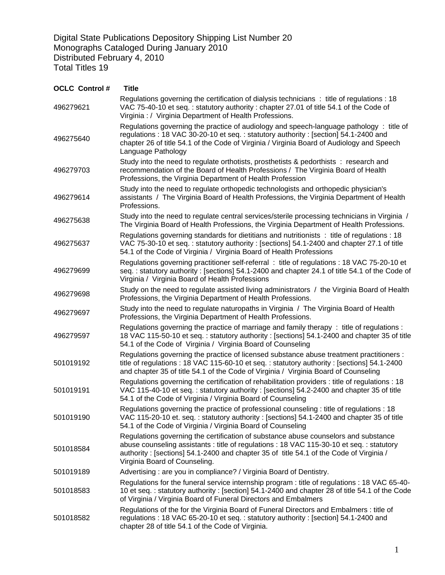Digital State Publications Depository Shipping List Number 20 Monographs Cataloged During January 2010 Distributed February 4, 2010 Total Titles 19

| <b>OCLC Control#</b> | <b>Title</b>                                                                                                                                                                                                                                                                                                |
|----------------------|-------------------------------------------------------------------------------------------------------------------------------------------------------------------------------------------------------------------------------------------------------------------------------------------------------------|
| 496279621            | Regulations governing the certification of dialysis technicians : title of regulations : 18<br>VAC 75-40-10 et seq.: statutory authority: chapter 27.01 of title 54.1 of the Code of<br>Virginia : / Virginia Department of Health Professions.                                                             |
| 496275640            | Regulations governing the practice of audiology and speech-language pathology : title of<br>regulations: 18 VAC 30-20-10 et seq.: statutory authority: [section] 54.1-2400 and<br>chapter 26 of title 54.1 of the Code of Virginia / Virginia Board of Audiology and Speech<br>Language Pathology           |
| 496279703            | Study into the need to regulate orthotists, prosthetists & pedorthists: research and<br>recommendation of the Board of Health Professions / The Virginia Board of Health<br>Professions, the Virginia Department of Health Profession                                                                       |
| 496279614            | Study into the need to regulate orthopedic technologists and orthopedic physician's<br>assistants / The Virginia Board of Health Professions, the Virginia Department of Health<br>Professions.                                                                                                             |
| 496275638            | Study into the need to regulate central services/sterile processing technicians in Virginia /<br>The Virginia Board of Health Professions, the Virginia Department of Health Professions.                                                                                                                   |
| 496275637            | Regulations governing standards for dietitians and nutritionists : title of regulations : 18<br>VAC 75-30-10 et seq.: statutory authority: [sections] 54.1-2400 and chapter 27.1 of title<br>54.1 of the Code of Virginia / Virginia Board of Health Professions                                            |
| 496279699            | Regulations governing practitioner self-referral : title of regulations : 18 VAC 75-20-10 et<br>seq.: statutory authority: [sections] 54.1-2400 and chapter 24.1 of title 54.1 of the Code of<br>Virginia / Virginia Board of Health Professions                                                            |
| 496279698            | Study on the need to regulate assisted living administrators / the Virginia Board of Health<br>Professions, the Virginia Department of Health Professions.                                                                                                                                                  |
| 496279697            | Study into the need to regulate naturopaths in Virginia / The Virginia Board of Health<br>Professions, the Virginia Department of Health Professions.                                                                                                                                                       |
| 496279597            | Regulations governing the practice of marriage and family therapy: title of regulations:<br>18 VAC 115-50-10 et seq.: statutory authority : [sections] 54.1-2400 and chapter 35 of title<br>54.1 of the Code of Virginia / Virginia Board of Counseling                                                     |
| 501019192            | Regulations governing the practice of licensed substance abuse treatment practitioners :<br>title of regulations: 18 VAC 115-60-10 et seq.: statutory authority: [sections] 54.1-2400<br>and chapter 35 of title 54.1 of the Code of Virginia / Virginia Board of Counseling                                |
| 501019191            | Regulations governing the certification of rehabilitation providers : title of regulations : 18<br>VAC 115-40-10 et seq.: statutory authority: [sections] 54.2-2400 and chapter 35 of title<br>54.1 of the Code of Virginia / Virginia Board of Counseling                                                  |
| 501019190            | Regulations governing the practice of professional counseling : title of regulations : 18<br>VAC 115-20-10 et. seq.: statutory authority: [sections] 54.1-2400 and chapter 35 of title<br>54.1 of the Code of Virginia / Virginia Board of Counseling                                                       |
| 501018584            | Regulations governing the certification of substance abuse counselors and substance<br>abuse counseling assistants : title of regulations : 18 VAC 115-30-10 et seg. : statutory<br>authority: [sections] 54.1-2400 and chapter 35 of title 54.1 of the Code of Virginia /<br>Virginia Board of Counseling. |
| 501019189            | Advertising: are you in compliance? / Virginia Board of Dentistry.                                                                                                                                                                                                                                          |
| 501018583            | Regulations for the funeral service internship program : title of regulations : 18 VAC 65-40-<br>10 et seq.: statutory authority : [section] 54.1-2400 and chapter 28 of title 54.1 of the Code<br>of Virginia / Virginia Board of Funeral Directors and Embalmers                                          |
| 501018582            | Regulations of the for the Virginia Board of Funeral Directors and Embalmers : title of<br>regulations: 18 VAC 65-20-10 et seq.: statutory authority: [section] 54.1-2400 and<br>chapter 28 of title 54.1 of the Code of Virginia.                                                                          |